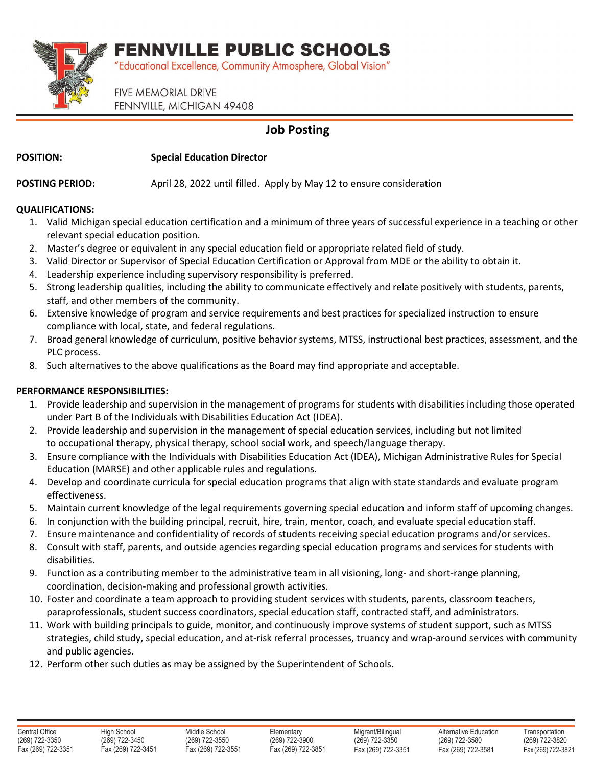FENNVILLE PUBLIC SCHOOLS



"Educational Excellence, Community Atmosphere, Global Vision"

**FIVE MEMORIAL DRIVE** FENNVILLE, MICHIGAN 49408

## **Job Posting**

**POSITION: Special Education Director**

**POSTING PERIOD:** April 28, 2022 until filled. Apply by May 12 to ensure consideration

### **QUALIFICATIONS:**

- 1. Valid Michigan special education certification and a minimum of three years of successful experience in a teaching or other relevant special education position.
- 2. Master's degree or equivalent in any special education field or appropriate related field of study.
- 3. Valid Director or Supervisor of Special Education Certification or Approval from MDE or the ability to obtain it.
- 4. Leadership experience including supervisory responsibility is preferred.
- 5. Strong leadership qualities, including the ability to communicate effectively and relate positively with students, parents, staff, and other members of the community.
- 6. Extensive knowledge of program and service requirements and best practices for specialized instruction to ensure compliance with local, state, and federal regulations.
- 7. Broad general knowledge of curriculum, positive behavior systems, MTSS, instructional best practices, assessment, and the PLC process.
- 8. Such alternatives to the above qualifications as the Board may find appropriate and acceptable.

## **PERFORMANCE RESPONSIBILITIES:**

- 1. Provide leadership and supervision in the management of programs for students with disabilities including those operated under Part B of the Individuals with Disabilities Education Act (IDEA).
- 2. Provide leadership and supervision in the management of special education services, including but not limited to occupational therapy, physical therapy, school social work, and speech/language therapy.
- 3. Ensure compliance with the Individuals with Disabilities Education Act (IDEA), Michigan Administrative Rules for Special Education (MARSE) and other applicable rules and regulations.
- 4. Develop and coordinate curricula for special education programs that align with state standards and evaluate program effectiveness.
- 5. Maintain current knowledge of the legal requirements governing special education and inform staff of upcoming changes.
- 6. In conjunction with the building principal, recruit, hire, train, mentor, coach, and evaluate special education staff.
- 7. Ensure maintenance and confidentiality of records of students receiving special education programs and/or services.
- 8. Consult with staff, parents, and outside agencies regarding special education programs and services for students with disabilities.
- 9. Function as a contributing member to the administrative team in all visioning, long- and short-range planning, coordination, decision-making and professional growth activities.
- 10. Foster and coordinate a team approach to providing student services with students, parents, classroom teachers, paraprofessionals, student success coordinators, special education staff, contracted staff, and administrators.
- 11. Work with building principals to guide, monitor, and continuously improve systems of student support, such as MTSS strategies, child study, special education, and at-risk referral processes, truancy and wrap-around services with community and public agencies.
- 12. Perform other such duties as may be assigned by the Superintendent of Schools.